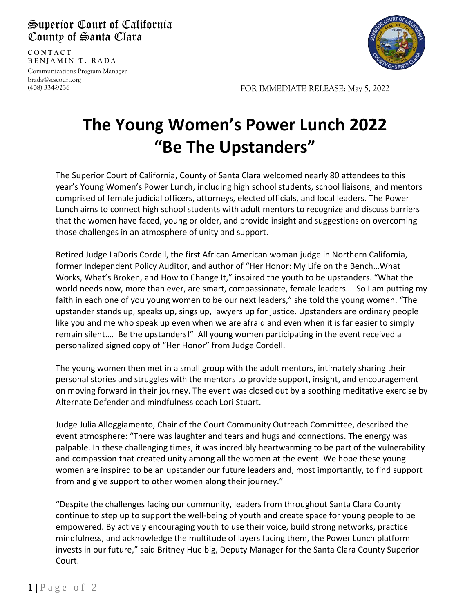## Superior Court of California County of Santa Clara

**CONTAC T BENJAMIN T. RADA** Communications Program Manager

brada@scscourt.org (408) 334-9236

l



FOR IMMEDIATE RELEASE: May 5, 2022

## **The Young Women's Power Lunch 2022 "Be The Upstanders"**

The Superior Court of California, County of Santa Clara welcomed nearly 80 attendees to this year's Young Women's Power Lunch, including high school students, school liaisons, and mentors comprised of female judicial officers, attorneys, elected officials, and local leaders. The Power Lunch aims to connect high school students with adult mentors to recognize and discuss barriers that the women have faced, young or older, and provide insight and suggestions on overcoming those challenges in an atmosphere of unity and support.

Retired Judge LaDoris Cordell, the first African American woman judge in Northern California, former Independent Policy Auditor, and author of "Her Honor: My Life on the Bench…What Works, What's Broken, and How to Change It," inspired the youth to be upstanders. "What the world needs now, more than ever, are smart, compassionate, female leaders… So I am putting my faith in each one of you young women to be our next leaders," she told the young women. "The upstander stands up, speaks up, sings up, lawyers up for justice. Upstanders are ordinary people like you and me who speak up even when we are afraid and even when it is far easier to simply remain silent…. Be the upstanders!" All young women participating in the event received a personalized signed copy of "Her Honor" from Judge Cordell.

The young women then met in a small group with the adult mentors, intimately sharing their personal stories and struggles with the mentors to provide support, insight, and encouragement on moving forward in their journey. The event was closed out by a soothing meditative exercise by Alternate Defender and mindfulness coach Lori Stuart.

Judge Julia Alloggiamento, Chair of the Court Community Outreach Committee, described the event atmosphere: "There was laughter and tears and hugs and connections. The energy was palpable. In these challenging times, it was incredibly heartwarming to be part of the vulnerability and compassion that created unity among all the women at the event. We hope these young women are inspired to be an upstander our future leaders and, most importantly, to find support from and give support to other women along their journey."

"Despite the challenges facing our community, leaders from throughout Santa Clara County continue to step up to support the well-being of youth and create space for young people to be empowered. By actively encouraging youth to use their voice, build strong networks, practice mindfulness, and acknowledge the multitude of layers facing them, the Power Lunch platform invests in our future," said Britney Huelbig, Deputy Manager for the Santa Clara County Superior Court.